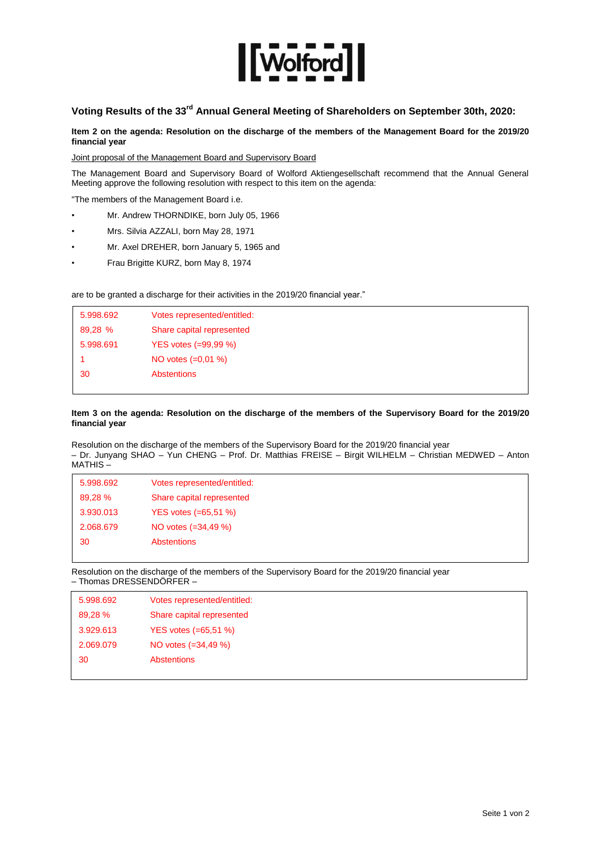

# **Voting Results of the 33rd Annual General Meeting of Shareholders on September 30th, 2020:**

**Item 2 on the agenda: Resolution on the discharge of the members of the Management Board for the 2019/20 financial year**

Joint proposal of the Management Board and Supervisory Board

The Management Board and Supervisory Board of Wolford Aktiengesellschaft recommend that the Annual General Meeting approve the following resolution with respect to this item on the agenda:

"The members of the Management Board i.e.

- Mr. Andrew THORNDIKE, born July 05, 1966
- Mrs. Silvia AZZALI, born May 28, 1971
- Mr. Axel DREHER, born January 5, 1965 and
- Frau Brigitte KURZ, born May 8, 1974

are to be granted a discharge for their activities in the 2019/20 financial year."

| 5.998.692 | Votes represented/entitled: |
|-----------|-----------------------------|
| 89,28 %   | Share capital represented   |
| 5.998.691 | YES votes (=99,99 %)        |
|           | NO votes $(=0.01\%)$        |
| 30        | <b>Abstentions</b>          |
|           |                             |

# **Item 3 on the agenda: Resolution on the discharge of the members of the Supervisory Board for the 2019/20 financial year**

Resolution on the discharge of the members of the Supervisory Board for the 2019/20 financial year – Dr. Junyang SHAO – Yun CHENG – Prof. Dr. Matthias FREISE – Birgit WILHELM – Christian MEDWED – Anton MATHIS –

| 5.998.692 | Votes represented/entitled: |  |
|-----------|-----------------------------|--|
| 89,28 %   | Share capital represented   |  |
| 3.930.013 | YES votes $(=65,51\%)$      |  |
| 2.068.679 | NO votes (=34,49 %)         |  |
| 30        | <b>Abstentions</b>          |  |
|           |                             |  |

Resolution on the discharge of the members of the Supervisory Board for the 2019/20 financial year – Thomas DRESSENDÖRFER –

| 5.998.692 | Votes represented/entitled: |
|-----------|-----------------------------|
| 89,28 %   | Share capital represented   |
| 3.929.613 | YES votes $(=65, 51 \%)$    |
| 2.069.079 | NO votes (=34,49 %)         |
| 30        | <b>Abstentions</b>          |
|           |                             |